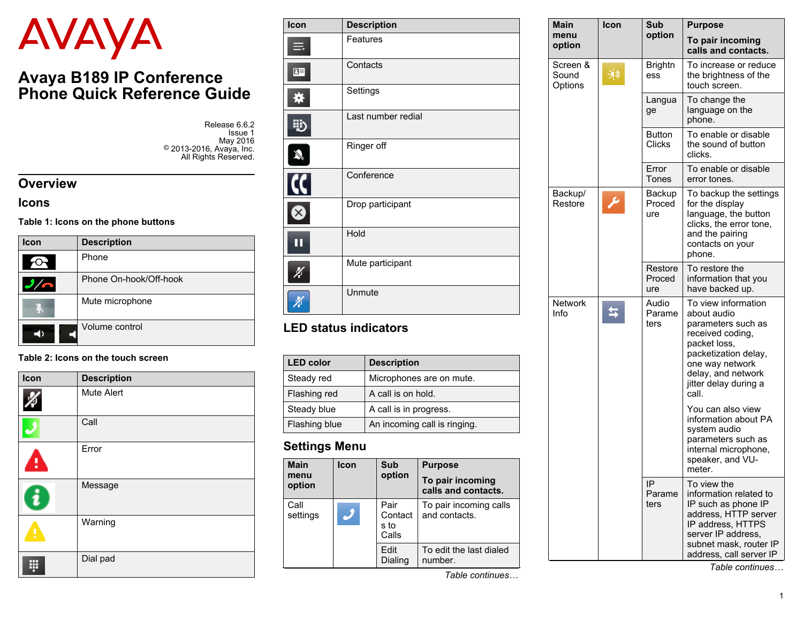# AVAYA

# **Avaya B189 IP Conference Phone Quick Reference Guide**

Release 6.6.2 Issue 1 May 2016 © 2013-2016, Avaya, Inc. All Rights Reserved.

#### **Overview**

#### **Icons**

#### **Table 1: Icons on the phone buttons**

| <b>Icon</b>         | <b>Description</b>     |  |
|---------------------|------------------------|--|
|                     | Phone                  |  |
|                     | Phone On-hook/Off-hook |  |
| Mute microphone     |                        |  |
| Volume control<br>◀ |                        |  |

#### **Table 2: Icons on the touch screen**

| Icon | <b>Description</b> |
|------|--------------------|
|      | Mute Alert         |
|      | Call               |
| ŧ    | Error              |
| ì    | Message            |
| ŗ    | Warning            |
| H    | Dial pad           |

| Icon         | <b>Description</b> |  |  |
|--------------|--------------------|--|--|
|              | Features           |  |  |
| $\mathbf{E}$ | Contacts           |  |  |
|              | Settings           |  |  |
| 雔            | Last number redial |  |  |
| Ŋ            | Ringer off         |  |  |
|              | Conference         |  |  |
|              | Drop participant   |  |  |
| т            | Hold               |  |  |
|              | Mute participant   |  |  |
|              | Unmute             |  |  |

#### **LED status indicators**

| <b>LED color</b> | <b>Description</b>           |  |  |
|------------------|------------------------------|--|--|
| Steady red       | Microphones are on mute.     |  |  |
| Flashing red     | A call is on hold.           |  |  |
| Steady blue      | A call is in progress.       |  |  |
| Flashing blue    | An incoming call is ringing. |  |  |

#### **Settings Menu**

| <b>Main</b><br>menu<br>option | <b>Icon</b> | Sub<br>option                    | <b>Purpose</b><br>To pair incoming<br>calls and contacts. |
|-------------------------------|-------------|----------------------------------|-----------------------------------------------------------|
| Call<br>settings              |             | Pair<br>Contact<br>s to<br>Calls | To pair incoming calls<br>and contacts.                   |
|                               |             | Edit<br>Dialing                  | To edit the last dialed<br>number.                        |

| Main<br>menu<br>option       | Icon | Sub<br>option                  | <b>Purpose</b>                                                                                                                                                                                  |
|------------------------------|------|--------------------------------|-------------------------------------------------------------------------------------------------------------------------------------------------------------------------------------------------|
|                              |      |                                | To pair incoming<br>calls and contacts.                                                                                                                                                         |
| Screen &<br>Sound<br>Options | 浏    | <b>Brightn</b><br>ess          | To increase or reduce<br>the brightness of the<br>touch screen.                                                                                                                                 |
|                              |      | Langua<br>ge                   | To change the<br>language on the<br>phone.                                                                                                                                                      |
|                              |      | <b>Button</b><br><b>Clicks</b> | To enable or disable<br>the sound of button<br>clicks.                                                                                                                                          |
|                              |      | Error<br>Tones                 | To enable or disable<br>error tones.                                                                                                                                                            |
| Backup/<br>Restore           |      | Backup<br>Proced<br>ure        | To backup the settings<br>for the display<br>language, the button<br>clicks, the error tone,<br>and the pairing<br>contacts on your<br>phone.                                                   |
|                              |      | Restore<br>Proced<br>ure       | To restore the<br>information that you<br>have backed up.                                                                                                                                       |
| <b>Network</b><br>Info       |      | Audio<br>Parame<br>ters        | To view information<br>about audio<br>parameters such as<br>received coding,<br>packet loss,<br>packetization delay,<br>one way network<br>delay, and network<br>jitter delay during a<br>call. |
|                              |      |                                | You can also view<br>information about PA<br>system audio<br>parameters such as<br>internal microphone,<br>speaker, and VU-<br>meter.                                                           |
|                              |      | IP<br>Parame<br>ters           | To view the<br>information related to<br>IP such as phone IP<br>address, HTTP server<br>IP address, HTTPS<br>server IP address,<br>subnet mask, router IP<br>address, call server IP            |

*Table continues…*

*Table continues…*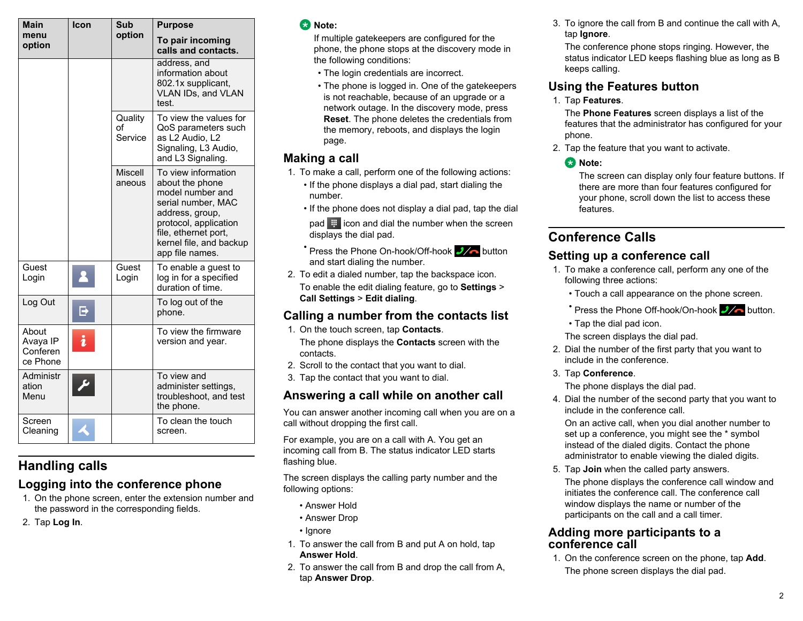| <b>Main</b>                               | Icon | Sub                      | <b>Purpose</b>                                                                                                                                                                                     |
|-------------------------------------------|------|--------------------------|----------------------------------------------------------------------------------------------------------------------------------------------------------------------------------------------------|
| menu<br>option                            |      | option                   | To pair incoming<br>calls and contacts.                                                                                                                                                            |
|                                           |      |                          | address, and<br>information about<br>802.1x supplicant,<br>VLAN IDs, and VLAN<br>test.                                                                                                             |
|                                           |      | Quality<br>оf<br>Service | To view the values for<br>QoS parameters such<br>as L2 Audio, L2<br>Signaling, L3 Audio,<br>and L3 Signaling.                                                                                      |
|                                           |      | <b>Miscell</b><br>aneous | To view information<br>about the phone<br>model number and<br>serial number, MAC<br>address, group,<br>protocol, application<br>file, ethernet port,<br>kernel file, and backup<br>app file names. |
| Guest<br>Login                            |      | Guest<br>Login           | To enable a guest to<br>log in for a specified<br>duration of time.                                                                                                                                |
| Log Out                                   |      |                          | To log out of the<br>phone.                                                                                                                                                                        |
| About<br>Avaya IP<br>Conferen<br>ce Phone |      |                          | To view the firmware<br>version and year.                                                                                                                                                          |
| Administr<br>ation<br>Menu                |      |                          | To view and<br>administer settings,<br>troubleshoot, and test<br>the phone.                                                                                                                        |
| Screen<br>Cleaning                        |      |                          | To clean the touch<br>screen.                                                                                                                                                                      |

# **Handling calls**

## **Logging into the conference phone**

- 1. On the phone screen, enter the extension number and the password in the corresponding fields.
- 2. Tap **Log In**.

#### **Note:**

If multiple gatekeepers are configured for the phone, the phone stops at the discovery mode in the following conditions:

- The login credentials are incorrect.
- The phone is logged in. One of the gatekeepers is not reachable, because of an upgrade or a network outage. In the discovery mode, press **Reset**. The phone deletes the credentials from the memory, reboots, and displays the login page.

## **Making a call**

- 1. To make a call, perform one of the following actions:
	- If the phone displays a dial pad, start dialing the number.
	- If the phone does not display a dial pad, tap the dial  $pad \#$  icon and dial the number when the screen displays the dial pad.
	- Press the Phone On-hook/Off-hook  $\frac{1}{2}$  button and start dialing the number.
- 2. To edit a dialed number, tap the backspace icon. To enable the edit dialing feature, go to **Settings** > **Call Settings** > **Edit dialing**.

## **Calling a number from the contacts list**

- 1. On the touch screen, tap **Contacts**. The phone displays the **Contacts** screen with the contacts.
- 2. Scroll to the contact that you want to dial.
- 3. Tap the contact that you want to dial.

## **Answering a call while on another call**

You can answer another incoming call when you are on a call without dropping the first call.

For example, you are on a call with A. You get an incoming call from B. The status indicator LED starts flashing blue.

The screen displays the calling party number and the following options:

- Answer Hold
- Answer Drop
- Ignore
- 1. To answer the call from B and put A on hold, tap **Answer Hold**.
- 2. To answer the call from B and drop the call from A, tap **Answer Drop**.

3. To ignore the call from B and continue the call with A, tap **Ignore**.

The conference phone stops ringing. However, the status indicator LED keeps flashing blue as long as B keeps calling.

## **Using the Features button**

1. Tap **Features**.

The **Phone Features** screen displays a list of the features that the administrator has configured for your phone.

2. Tap the feature that you want to activate.

#### **C** Note:

The screen can display only four feature buttons. If there are more than four features configured for your phone, scroll down the list to access these features.

## **Conference Calls**

#### **Setting up a conference call**

- 1. To make a conference call, perform any one of the following three actions:
	- Touch a call appearance on the phone screen.
	- **Press the Phone Off-hook/On-hook**  $\frac{1}{2}$  **button.**
	- Tap the dial pad icon.

The screen displays the dial pad.

2. Dial the number of the first party that you want to include in the conference.

#### 3. Tap **Conference**.

The phone displays the dial pad.

4. Dial the number of the second party that you want to include in the conference call.

On an active call, when you dial another number to set up a conference, you might see the \* symbol instead of the dialed digits. Contact the phone administrator to enable viewing the dialed digits.

5. Tap **Join** when the called party answers.

The phone displays the conference call window and initiates the conference call. The conference call window displays the name or number of the participants on the call and a call timer.

#### **Adding more participants to a conference call**

1. On the conference screen on the phone, tap **Add**. The phone screen displays the dial pad.